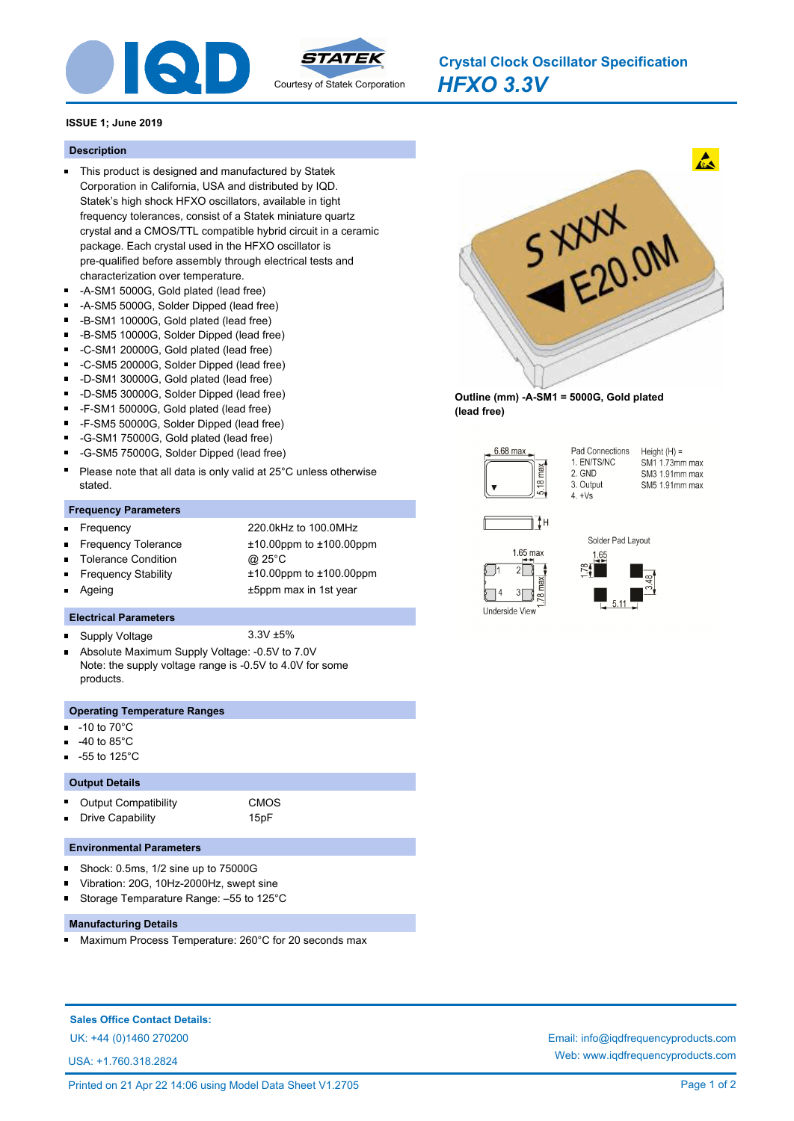

*HFXO 3.3V* **Crystal Clock Oscillator Specification**

## **ISSUE 1; June 2019**

#### **Description**

- This product is designed and manufactured by Statek Corporation in California, USA and distributed by IQD. Statek's high shock HFXO oscillators, available in tight frequency tolerances, consist of a Statek miniature quartz crystal and a CMOS/TTL compatible hybrid circuit in a ceramic package. Each crystal used in the HFXO oscillator is pre-qualified before assembly through electrical tests and characterization over temperature.
- -A-SM1 5000G, Gold plated (lead free)
- -A-SM5 5000G, Solder Dipped (lead free)
- -B-SM1 10000G, Gold plated (lead free)  $\blacksquare$
- $\blacksquare$ -B-SM5 10000G, Solder Dipped (lead free)
- $\blacksquare$ -C-SM1 20000G, Gold plated (lead free)
- -C-SM5 20000G, Solder Dipped (lead free)  $\blacksquare$
- -D-SM1 30000G, Gold plated (lead free)
- -D-SM5 30000G, Solder Dipped (lead free)
- $\blacksquare$ -F-SM1 50000G, Gold plated (lead free)
- $\blacksquare$ -F-SM5 50000G, Solder Dipped (lead free)
- -G-SM1 75000G, Gold plated (lead free)
- $\blacksquare$ -G-SM5 75000G, Solder Dipped (lead free)
- Please note that all data is only valid at 25°C unless otherwise stated.

#### **Frequency Parameters**

Ξ

 $\blacksquare$ 

Ē

 $\blacksquare$ 

- Frequency 220.0kHz to 100.0MHz
- Frequency Tolerance ±10.00ppm to ±100.00ppm
- Tolerance Condition @ 25°C
- Frequency Stability ±10.00ppm to ±100.00ppm
- Ageing the state of the state of the state of the state of the state of the state of the state of the state of the state of the state of the state of the state of the state of the state of the state of the state of the sta

### **Electrical Parameters**

- Supply Voltage 3.3V ±5%
- Absolute Maximum Supply Voltage: -0.5V to 7.0V  $\blacksquare$ Note: the supply voltage range is -0.5V to 4.0V for some products.

#### **Operating Temperature Ranges**

- -10 to 70°C
- -40 to 85°C
- -55 to 125°C

#### **Output Details**

Output Compatibility **CMOS** Drive Capability 15pF

## **Environmental Parameters**

- $\blacksquare$ Shock: 0.5ms, 1/2 sine up to 75000G
- Vibration: 20G, 10Hz-2000Hz, swept sine
- Storage Temparature Range: –55 to 125°C Ē

### **Manufacturing Details**

Maximum Process Temperature: 260°C for 20 seconds max

**Sales Office Contact Details:**

USA: +1.760.318.2824



**Outline (mm) -A-SM1 = 5000G, Gold plated (lead free)**



Pad Connections  $Height(H) =$ 1. EN/TS/NC SM1 1.73mm max 2. GND SM3 1.91mm max 3. Output SM5 1.91mm max  $4 +\sqrt{8}$ 







UK: +44 (0)1460 270200 Email: info@iqdfrequencyproducts.com Web: www.iqdfrequencyproducts.com